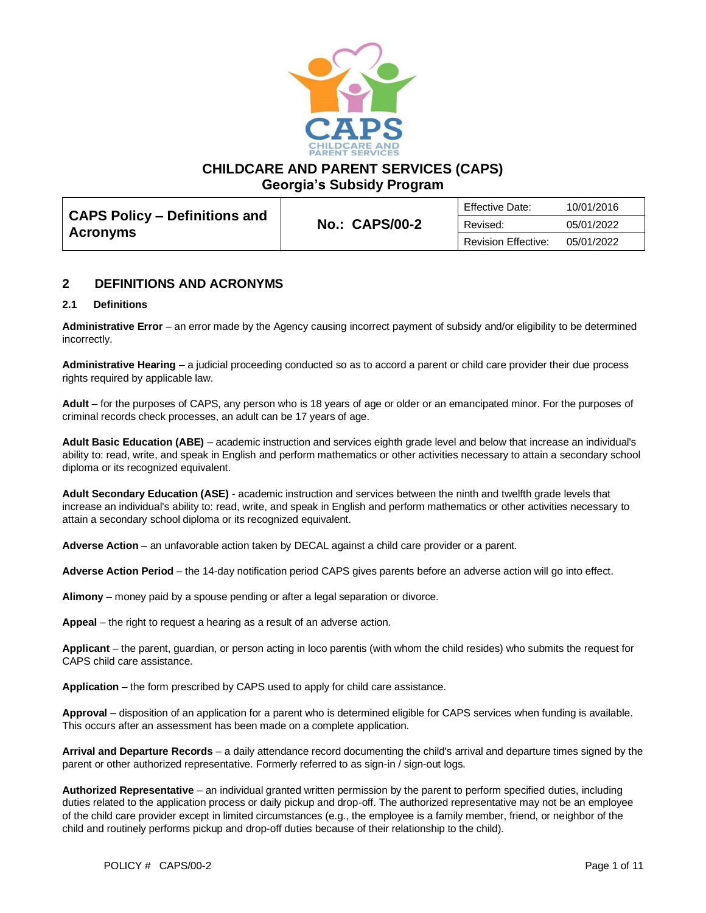

**CHILDCARE AND PARENT SERVICES (CAPS)**

**Georgia's Subsidy Program**

|                                                  |                       | <b>Effective Date:</b>     | 10/01/2016 |
|--------------------------------------------------|-----------------------|----------------------------|------------|
| CAPS Policy – Definitions and<br><b>Acronyms</b> | <b>No.: CAPS/00-2</b> | Revised:                   | 05/01/2022 |
|                                                  |                       | <b>Revision Effective:</b> | 05/01/2022 |

## **2 DEFINITIONS AND ACRONYMS**

## **2.1 Definitions**

**Administrative Error** – an error made by the Agency causing incorrect payment of subsidy and/or eligibility to be determined incorrectly.

**Administrative Hearing** – a judicial proceeding conducted so as to accord a parent or child care provider their due process rights required by applicable law.

**Adult** – for the purposes of CAPS, any person who is 18 years of age or older or an emancipated minor. For the purposes of criminal records check processes, an adult can be 17 years of age.

**Adult Basic Education (ABE)** – academic instruction and services eighth grade level and below that increase an individual's ability to: read, write, and speak in English and perform mathematics or other activities necessary to attain a secondary school diploma or its recognized equivalent.

**Adult Secondary Education (ASE)** - academic instruction and services between the ninth and twelfth grade levels that increase an individual's ability to: read, write, and speak in English and perform mathematics or other activities necessary to attain a secondary school diploma or its recognized equivalent.

**Adverse Action** – an unfavorable action taken by DECAL against a child care provider or a parent.

**Adverse Action Period** – the 14-day notification period CAPS gives parents before an adverse action will go into effect.

**Alimony** – money paid by a spouse pending or after a legal separation or divorce.

**Appeal** – the right to request a hearing as a result of an adverse action.

**Applicant** – the parent, guardian, or person acting in loco parentis (with whom the child resides) who submits the request for CAPS child care assistance.

**Application** – the form prescribed by CAPS used to apply for child care assistance.

**Approval** – disposition of an application for a parent who is determined eligible for CAPS services when funding is available. This occurs after an assessment has been made on a complete application.

**Arrival and Departure Records** – a daily attendance record documenting the child's arrival and departure times signed by the parent or other authorized representative. Formerly referred to as sign-in / sign-out logs.

**Authorized Representative** – an individual granted written permission by the parent to perform specified duties, including duties related to the application process or daily pickup and drop-off. The authorized representative may not be an employee of the child care provider except in limited circumstances (e.g., the employee is a family member, friend, or neighbor of the child and routinely performs pickup and drop-off duties because of their relationship to the child).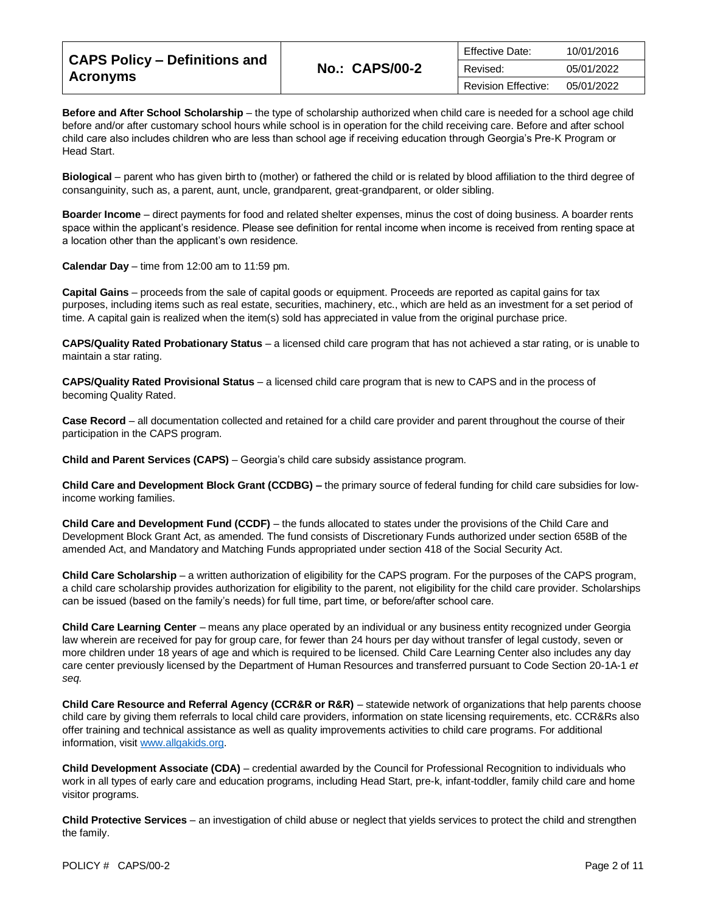| <b>CAPS Policy - Definitions and</b> |                       | <b>Effective Date:</b>     | 10/01/2016 |
|--------------------------------------|-----------------------|----------------------------|------------|
|                                      | <b>No.: CAPS/00-2</b> | Revised:                   | 05/01/2022 |
| <b>Acronyms</b>                      |                       | <b>Revision Effective:</b> | 05/01/2022 |

**Before and After School Scholarship** – the type of scholarship authorized when child care is needed for a school age child before and/or after customary school hours while school is in operation for the child receiving care. Before and after school child care also includes children who are less than school age if receiving education through Georgia's Pre-K Program or Head Start.

**Biological** – parent who has given birth to (mother) or fathered the child or is related by blood affiliation to the third degree of consanguinity, such as, a parent, aunt, uncle, grandparent, great-grandparent, or older sibling.

**Boarde**r **Income** – direct payments for food and related shelter expenses, minus the cost of doing business. A boarder rents space within the applicant's residence. Please see definition for rental income when income is received from renting space at a location other than the applicant's own residence.

**Calendar Day** – time from 12:00 am to 11:59 pm.

**Capital Gains** – proceeds from the sale of capital goods or equipment. Proceeds are reported as capital gains for tax purposes, including items such as real estate, securities, machinery, etc., which are held as an investment for a set period of time. A capital gain is realized when the item(s) sold has appreciated in value from the original purchase price.

**CAPS/Quality Rated Probationary Status** – a licensed child care program that has not achieved a star rating, or is unable to maintain a star rating.

**CAPS/Quality Rated Provisional Status** – a licensed child care program that is new to CAPS and in the process of becoming Quality Rated.

**Case Record** – all documentation collected and retained for a child care provider and parent throughout the course of their participation in the CAPS program.

**Child and Parent Services (CAPS)** – Georgia's child care subsidy assistance program.

**Child Care and Development Block Grant (CCDBG) –** the primary source of federal funding for child care subsidies for lowincome working families.

**Child Care and Development Fund (CCDF)** – the funds allocated to states under the provisions of the Child Care and Development Block Grant Act, as amended. The fund consists of Discretionary Funds authorized under section 658B of the amended Act, and Mandatory and Matching Funds appropriated under section 418 of the Social Security Act.

**Child Care Scholarship** – a written authorization of eligibility for the CAPS program. For the purposes of the CAPS program, a child care scholarship provides authorization for eligibility to the parent, not eligibility for the child care provider. Scholarships can be issued (based on the family's needs) for full time, part time, or before/after school care.

**Child Care Learning Center** – means any place operated by an individual or any business entity recognized under Georgia law wherein are received for pay for group care, for fewer than 24 hours per day without transfer of legal custody, seven or more children under 18 years of age and which is required to be licensed. Child Care Learning Center also includes any day care center previously licensed by the Department of Human Resources and transferred pursuant to Code Section 20-1A-1 *et seq.*

**Child Care Resource and Referral Agency (CCR&R or R&R)** – statewide network of organizations that help parents choose child care by giving them referrals to local child care providers, information on state licensing requirements, etc. CCR&Rs also offer training and technical assistance as well as quality improvements activities to child care programs. For additional information, visi[t www.allgakids.org.](http://www.allgakids.org/)

**Child Development Associate (CDA)** – credential awarded by the Council for Professional Recognition to individuals who work in all types of early care and education programs, including Head Start, pre-k, infant-toddler, family child care and home visitor programs.

**Child Protective Services** – an investigation of child abuse or neglect that yields services to protect the child and strengthen the family.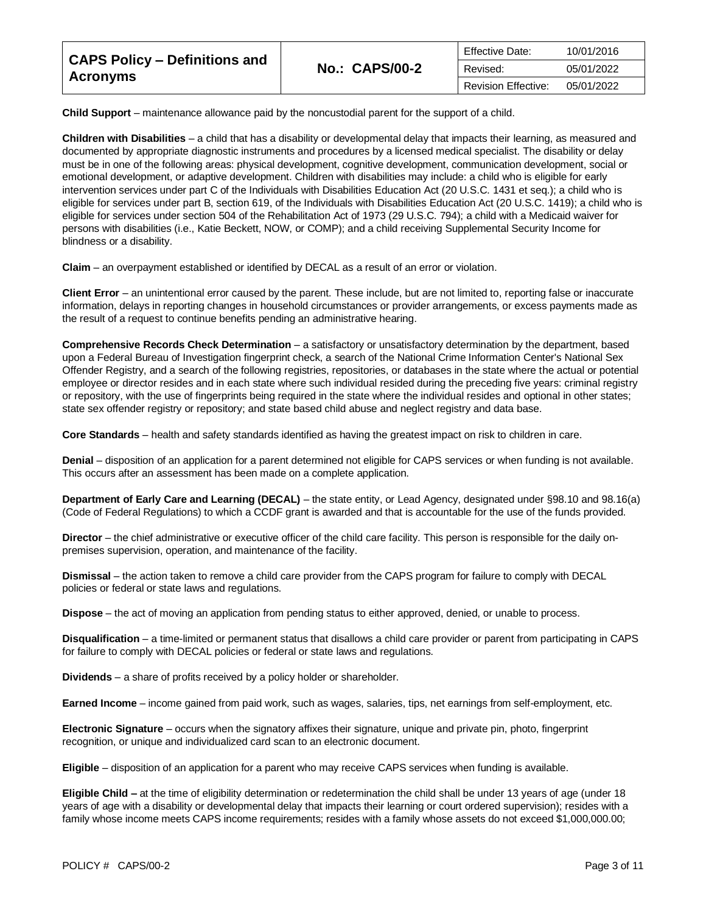| <b>CAPS Policy - Definitions and</b><br><b>Acronyms</b> |                       | Effective Date:            | 10/01/2016 |
|---------------------------------------------------------|-----------------------|----------------------------|------------|
|                                                         | <b>No.: CAPS/00-2</b> | Revised:                   | 05/01/2022 |
|                                                         |                       | <b>Revision Effective:</b> | 05/01/2022 |

**Child Support** – maintenance allowance paid by the noncustodial parent for the support of a child.

**Children with Disabilities** – a child that has a disability or developmental delay that impacts their learning, as measured and documented by appropriate diagnostic instruments and procedures by a licensed medical specialist. The disability or delay must be in one of the following areas: physical development, cognitive development, communication development, social or emotional development, or adaptive development. Children with disabilities may include: a child who is eligible for early intervention services under part C of the Individuals with Disabilities Education Act (20 U.S.C. 1431 et seq.); a child who is eligible for services under part B, section 619, of the Individuals with Disabilities Education Act (20 U.S.C. 1419); a child who is eligible for services under section 504 of the Rehabilitation Act of 1973 (29 U.S.C. 794); a child with a Medicaid waiver for persons with disabilities (i.e., Katie Beckett, NOW, or COMP); and a child receiving Supplemental Security Income for blindness or a disability.

**Claim** – an overpayment established or identified by DECAL as a result of an error or violation.

**Client Error** – an unintentional error caused by the parent. These include, but are not limited to, reporting false or inaccurate information, delays in reporting changes in household circumstances or provider arrangements, or excess payments made as the result of a request to continue benefits pending an administrative hearing.

**Comprehensive Records Check Determination** – a satisfactory or unsatisfactory determination by the department, based upon a Federal Bureau of Investigation fingerprint check, a search of the National Crime Information Center's National Sex Offender Registry, and a search of the following registries, repositories, or databases in the state where the actual or potential employee or director resides and in each state where such individual resided during the preceding five years: criminal registry or repository, with the use of fingerprints being required in the state where the individual resides and optional in other states; state sex offender registry or repository; and state based child abuse and neglect registry and data base.

**Core Standards** – health and safety standards identified as having the greatest impact on risk to children in care.

**Denial** – disposition of an application for a parent determined not eligible for CAPS services or when funding is not available. This occurs after an assessment has been made on a complete application.

**Department of Early Care and Learning (DECAL)** – the state entity, or Lead Agency, designated under §98.10 and 98.16(a) (Code of Federal Regulations) to which a CCDF grant is awarded and that is accountable for the use of the funds provided.

**Director** – the chief administrative or executive officer of the child care facility. This person is responsible for the daily onpremises supervision, operation, and maintenance of the facility.

**Dismissal** – the action taken to remove a child care provider from the CAPS program for failure to comply with DECAL policies or federal or state laws and regulations.

**Dispose** – the act of moving an application from pending status to either approved, denied, or unable to process.

**Disqualification** – a time-limited or permanent status that disallows a child care provider or parent from participating in CAPS for failure to comply with DECAL policies or federal or state laws and regulations.

**Dividends** – a share of profits received by a policy holder or shareholder.

**Earned Income** – income gained from paid work, such as wages, salaries, tips, net earnings from self-employment, etc.

**Electronic Signature** – occurs when the signatory affixes their signature, unique and private pin, photo, fingerprint recognition, or unique and individualized card scan to an electronic document.

**Eligible** – disposition of an application for a parent who may receive CAPS services when funding is available.

**Eligible Child –** at the time of eligibility determination or redetermination the child shall be under 13 years of age (under 18 years of age with a disability or developmental delay that impacts their learning or court ordered supervision); resides with a family whose income meets CAPS income requirements; resides with a family whose assets do not exceed \$1,000,000.00;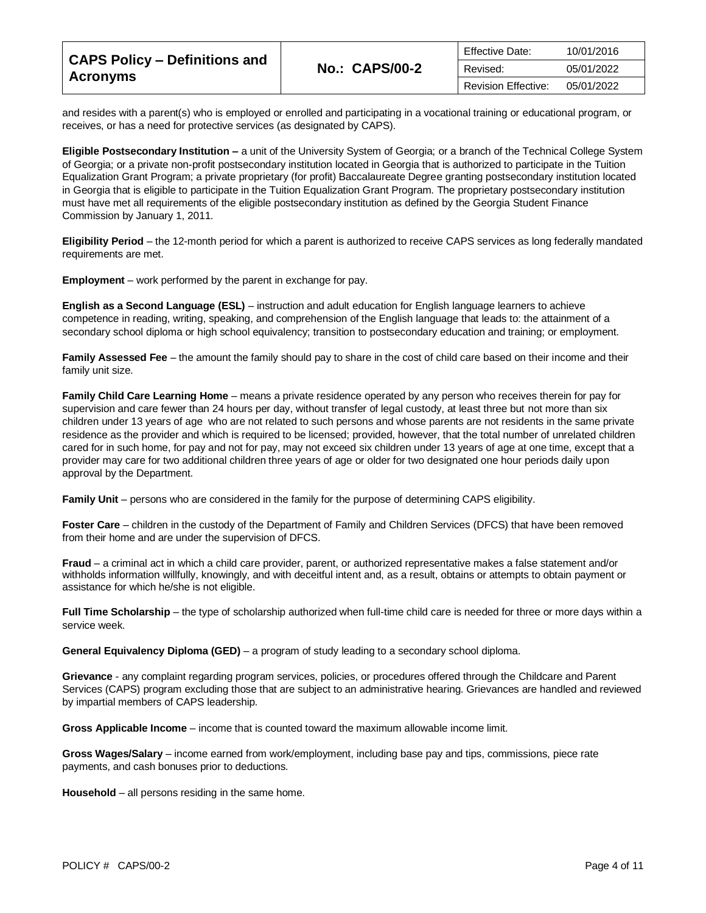| <b>CAPS Policy - Definitions and</b><br><b>Acronyms</b> |                       | Effective Date:            | 10/01/2016 |
|---------------------------------------------------------|-----------------------|----------------------------|------------|
|                                                         | <b>No.: CAPS/00-2</b> | Revised:                   | 05/01/2022 |
|                                                         |                       | <b>Revision Effective:</b> | 05/01/2022 |

and resides with a parent(s) who is employed or enrolled and participating in a vocational training or educational program, or receives, or has a need for protective services (as designated by CAPS).

**Eligible Postsecondary Institution –** a unit of the University System of Georgia; or a branch of the Technical College System of Georgia; or a private non-profit postsecondary institution located in Georgia that is authorized to participate in the Tuition Equalization Grant Program; a private proprietary (for profit) Baccalaureate Degree granting postsecondary institution located in Georgia that is eligible to participate in the Tuition Equalization Grant Program. The proprietary postsecondary institution must have met all requirements of the eligible postsecondary institution as defined by the Georgia Student Finance Commission by January 1, 2011.

**Eligibility Period** – the 12-month period for which a parent is authorized to receive CAPS services as long federally mandated requirements are met.

**Employment** – work performed by the parent in exchange for pay.

**English as a Second Language (ESL)** – instruction and adult education for English language learners to achieve competence in reading, writing, speaking, and comprehension of the English language that leads to: the attainment of a secondary school diploma or high school equivalency; transition to postsecondary education and training; or employment.

**Family Assessed Fee** – the amount the family should pay to share in the cost of child care based on their income and their family unit size.

**Family Child Care Learning Home** – means a private residence operated by any person who receives therein for pay for supervision and care fewer than 24 hours per day, without transfer of legal custody, at least three but not more than six children under 13 years of age who are not related to such persons and whose parents are not residents in the same private residence as the provider and which is required to be licensed; provided, however, that the total number of unrelated children cared for in such home, for pay and not for pay, may not exceed six children under 13 years of age at one time, except that a provider may care for two additional children three years of age or older for two designated one hour periods daily upon approval by the Department.

**Family Unit** – persons who are considered in the family for the purpose of determining CAPS eligibility.

Foster Care – children in the custody of the Department of Family and Children Services (DFCS) that have been removed from their home and are under the supervision of DFCS.

**Fraud** – a criminal act in which a child care provider, parent, or authorized representative makes a false statement and/or withholds information willfully, knowingly, and with deceitful intent and, as a result, obtains or attempts to obtain payment or assistance for which he/she is not eligible.

**Full Time Scholarship** – the type of scholarship authorized when full-time child care is needed for three or more days within a service week.

**General Equivalency Diploma (GED)** – a program of study leading to a secondary school diploma.

**Grievance** - any complaint regarding program services, policies, or procedures offered through the Childcare and Parent Services (CAPS) program excluding those that are subject to an administrative hearing. Grievances are handled and reviewed by impartial members of CAPS leadership.

**Gross Applicable Income** – income that is counted toward the maximum allowable income limit.

**Gross Wages/Salary** – income earned from work/employment, including base pay and tips, commissions, piece rate payments, and cash bonuses prior to deductions.

**Household** – all persons residing in the same home.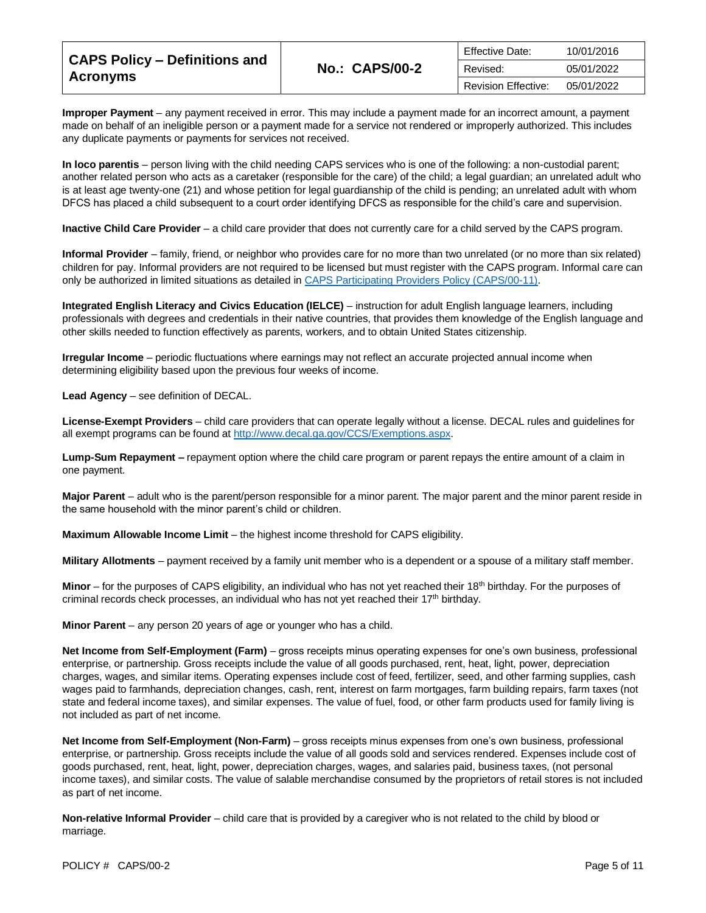| <b>CAPS Policy - Definitions and</b> |                       | Effective Date:            | 10/01/2016 |
|--------------------------------------|-----------------------|----------------------------|------------|
|                                      | <b>No.: CAPS/00-2</b> | Revised:                   | 05/01/2022 |
| <b>Acronyms</b>                      |                       | <b>Revision Effective:</b> | 05/01/2022 |

**Improper Payment** – any payment received in error. This may include a payment made for an incorrect amount, a payment made on behalf of an ineligible person or a payment made for a service not rendered or improperly authorized. This includes any duplicate payments or payments for services not received.

**In loco parentis** – person living with the child needing CAPS services who is one of the following: a non-custodial parent; another related person who acts as a caretaker (responsible for the care) of the child; a legal guardian; an unrelated adult who is at least age twenty-one (21) and whose petition for legal guardianship of the child is pending; an unrelated adult with whom DFCS has placed a child subsequent to a court order identifying DFCS as responsible for the child's care and supervision.

**Inactive Child Care Provider** – a child care provider that does not currently care for a child served by the CAPS program.

**Informal Provider** – family, friend, or neighbor who provides care for no more than two unrelated (or no more than six related) children for pay. Informal providers are not required to be licensed but must register with the CAPS program. Informal care can only be authorized in limited situations as detailed in [CAPS Participating Providers Policy \(CAPS/00-11\).](https://caps.decal.ga.gov/assets/downloads/CAPS/11-CAPS_Policy-Participating%20Providers.pdf)

**Integrated English Literacy and Civics Education (IELCE)** – instruction for adult English language learners, including professionals with degrees and credentials in their native countries, that provides them knowledge of the English language and other skills needed to function effectively as parents, workers, and to obtain United States citizenship.

**Irregular Income** – periodic fluctuations where earnings may not reflect an accurate projected annual income when determining eligibility based upon the previous four weeks of income.

**Lead Agency** – see definition of DECAL.

**License-Exempt Providers** – child care providers that can operate legally without a license. DECAL rules and guidelines for all exempt programs can be found a[t http://www.decal.ga.gov/CCS/Exemptions.aspx.](http://www.decal.ga.gov/CCS/Exemptions.aspx)

**Lump-Sum Repayment –** repayment option where the child care program or parent repays the entire amount of a claim in one payment.

**Major Parent** – adult who is the parent/person responsible for a minor parent. The major parent and the minor parent reside in the same household with the minor parent's child or children.

**Maximum Allowable Income Limit** – the highest income threshold for CAPS eligibility.

**Military Allotments** – payment received by a family unit member who is a dependent or a spouse of a military staff member.

**Minor** – for the purposes of CAPS eligibility, an individual who has not yet reached their 18th birthday. For the purposes of criminal records check processes, an individual who has not yet reached their  $17<sup>th</sup>$  birthday.

**Minor Parent** – any person 20 years of age or younger who has a child.

**Net Income from Self-Employment (Farm)** – gross receipts minus operating expenses for one's own business, professional enterprise, or partnership. Gross receipts include the value of all goods purchased, rent, heat, light, power, depreciation charges, wages, and similar items. Operating expenses include cost of feed, fertilizer, seed, and other farming supplies, cash wages paid to farmhands, depreciation changes, cash, rent, interest on farm mortgages, farm building repairs, farm taxes (not state and federal income taxes), and similar expenses. The value of fuel, food, or other farm products used for family living is not included as part of net income.

**Net Income from Self-Employment (Non-Farm)** – gross receipts minus expenses from one's own business, professional enterprise, or partnership. Gross receipts include the value of all goods sold and services rendered. Expenses include cost of goods purchased, rent, heat, light, power, depreciation charges, wages, and salaries paid, business taxes, (not personal income taxes), and similar costs. The value of salable merchandise consumed by the proprietors of retail stores is not included as part of net income.

**Non-relative Informal Provider** – child care that is provided by a caregiver who is not related to the child by blood or marriage.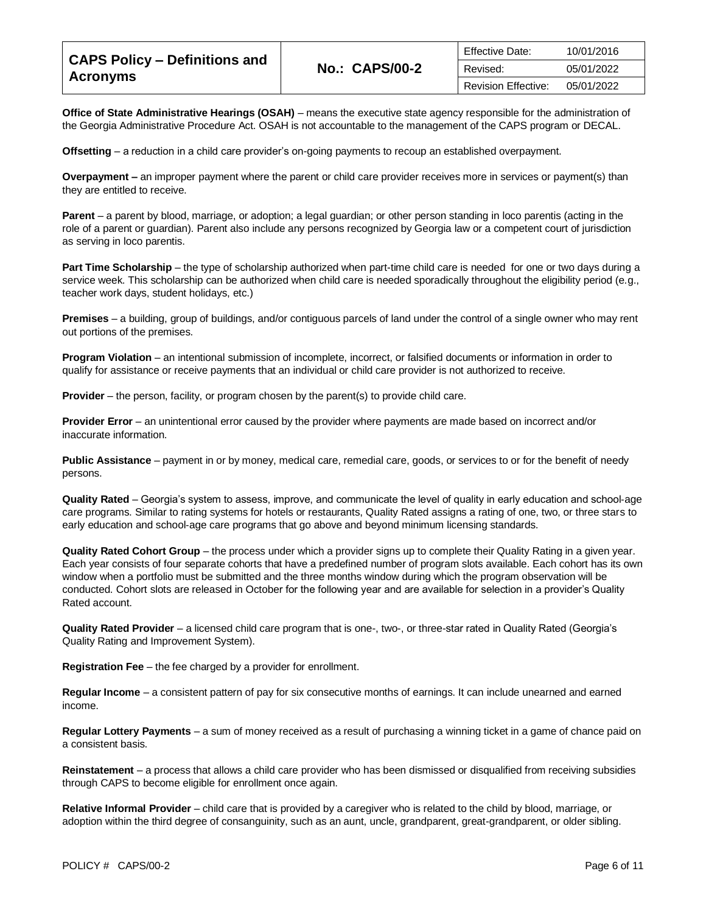| <b>CAPS Policy - Definitions and</b><br><b>Acronyms</b> |                       | <b>Effective Date:</b>     | 10/01/2016 |
|---------------------------------------------------------|-----------------------|----------------------------|------------|
|                                                         | <b>No.: CAPS/00-2</b> | Revised:                   | 05/01/2022 |
|                                                         |                       | <b>Revision Effective:</b> | 05/01/2022 |

**Office of State Administrative Hearings (OSAH)** – means the executive state agency responsible for the administration of the Georgia Administrative Procedure Act. OSAH is not accountable to the management of the CAPS program or DECAL.

**Offsetting** – a reduction in a child care provider's on-going payments to recoup an established overpayment.

**Overpayment –** an improper payment where the parent or child care provider receives more in services or payment(s) than they are entitled to receive.

**Parent** – a parent by blood, marriage, or adoption; a legal guardian; or other person standing in loco parentis (acting in the role of a parent or guardian). Parent also include any persons recognized by Georgia law or a competent court of jurisdiction as serving in loco parentis.

**Part Time Scholarship** – the type of scholarship authorized when part-time child care is needed for one or two days during a service week. This scholarship can be authorized when child care is needed sporadically throughout the eligibility period (e.g., teacher work days, student holidays, etc.)

**Premises** – a building, group of buildings, and/or contiguous parcels of land under the control of a single owner who may rent out portions of the premises.

**Program Violation** – an intentional submission of incomplete, incorrect, or falsified documents or information in order to qualify for assistance or receive payments that an individual or child care provider is not authorized to receive.

**Provider** – the person, facility, or program chosen by the parent(s) to provide child care.

**Provider Error** – an unintentional error caused by the provider where payments are made based on incorrect and/or inaccurate information.

**Public Assistance** – payment in or by money, medical care, remedial care, goods, or services to or for the benefit of needy persons.

**Quality Rated** – Georgia's system to assess, improve, and communicate the level of quality in early education and school‐age care programs. Similar to rating systems for hotels or restaurants, Quality Rated assigns a rating of one, two, or three stars to early education and school‐age care programs that go above and beyond minimum licensing standards.

**Quality Rated Cohort Group** – the process under which a provider signs up to complete their Quality Rating in a given year. Each year consists of four separate cohorts that have a predefined number of program slots available. Each cohort has its own window when a portfolio must be submitted and the three months window during which the program observation will be conducted. Cohort slots are released in October for the following year and are available for selection in a provider's Quality Rated account.

**Quality Rated Provider** – a licensed child care program that is one-, two-, or three-star rated in Quality Rated (Georgia's Quality Rating and Improvement System).

**Registration Fee** – the fee charged by a provider for enrollment.

**Regular Income** – a consistent pattern of pay for six consecutive months of earnings. It can include unearned and earned income.

**Regular Lottery Payments** – a sum of money received as a result of purchasing a winning ticket in a game of chance paid on a consistent basis.

**Reinstatement** – a process that allows a child care provider who has been dismissed or disqualified from receiving subsidies through CAPS to become eligible for enrollment once again.

**Relative Informal Provider** – child care that is provided by a caregiver who is related to the child by blood, marriage, or adoption within the third degree of consanguinity, such as an aunt, uncle, grandparent, great-grandparent, or older sibling.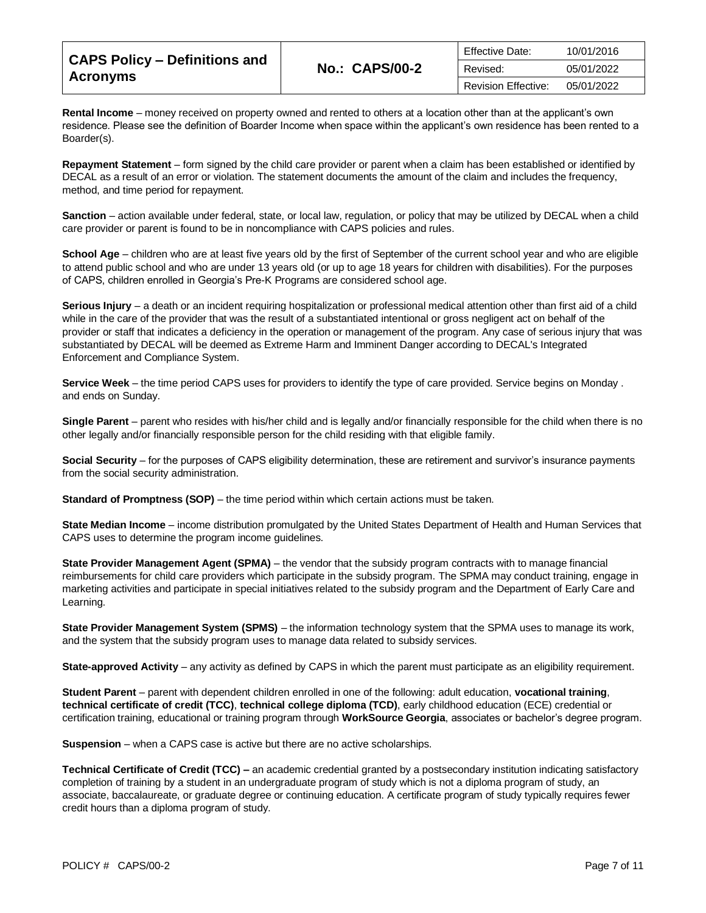| <b>CAPS Policy - Definitions and</b> |                       | <b>Effective Date:</b>     | 10/01/2016 |
|--------------------------------------|-----------------------|----------------------------|------------|
|                                      | <b>No.: CAPS/00-2</b> | Revised:                   | 05/01/2022 |
| <b>Acronyms</b>                      |                       | <b>Revision Effective:</b> | 05/01/2022 |

**Rental Income** – money received on property owned and rented to others at a location other than at the applicant's own residence. Please see the definition of Boarder Income when space within the applicant's own residence has been rented to a Boarder(s).

**Repayment Statement** – form signed by the child care provider or parent when a claim has been established or identified by DECAL as a result of an error or violation. The statement documents the amount of the claim and includes the frequency, method, and time period for repayment.

**Sanction** – action available under federal, state, or local law, regulation, or policy that may be utilized by DECAL when a child care provider or parent is found to be in noncompliance with CAPS policies and rules.

**School Age** – children who are at least five years old by the first of September of the current school year and who are eligible to attend public school and who are under 13 years old (or up to age 18 years for children with disabilities). For the purposes of CAPS, children enrolled in Georgia's Pre-K Programs are considered school age.

**Serious Injury** – a death or an incident requiring hospitalization or professional medical attention other than first aid of a child while in the care of the provider that was the result of a substantiated intentional or gross negligent act on behalf of the provider or staff that indicates a deficiency in the operation or management of the program. Any case of serious injury that was substantiated by DECAL will be deemed as Extreme Harm and Imminent Danger according to DECAL's Integrated Enforcement and Compliance System.

**Service Week** – the time period CAPS uses for providers to identify the type of care provided. Service begins on Monday . and ends on Sunday.

**Single Parent** – parent who resides with his/her child and is legally and/or financially responsible for the child when there is no other legally and/or financially responsible person for the child residing with that eligible family.

**Social Security** – for the purposes of CAPS eligibility determination, these are retirement and survivor's insurance payments from the social security administration.

**Standard of Promptness (SOP)** – the time period within which certain actions must be taken.

**State Median Income** – income distribution promulgated by the United States Department of Health and Human Services that CAPS uses to determine the program income guidelines.

**State Provider Management Agent (SPMA)** – the vendor that the subsidy program contracts with to manage financial reimbursements for child care providers which participate in the subsidy program. The SPMA may conduct training, engage in marketing activities and participate in special initiatives related to the subsidy program and the Department of Early Care and Learning.

**State Provider Management System (SPMS)** – the information technology system that the SPMA uses to manage its work, and the system that the subsidy program uses to manage data related to subsidy services.

**State-approved Activity** – any activity as defined by CAPS in which the parent must participate as an eligibility requirement.

**Student Parent** – parent with dependent children enrolled in one of the following: adult education, **vocational training**, **technical certificate of credit (TCC)**, **technical college diploma (TCD)**, early childhood education (ECE) credential or certification training, educational or training program through **WorkSource Georgia**, associates or bachelor's degree program.

**Suspension** – when a CAPS case is active but there are no active scholarships.

**Technical Certificate of Credit (TCC) –** an academic credential granted by a postsecondary institution indicating satisfactory completion of training by a student in an undergraduate program of study which is not a diploma program of study, an associate, baccalaureate, or graduate degree or continuing education. A certificate program of study typically requires fewer credit hours than a diploma program of study.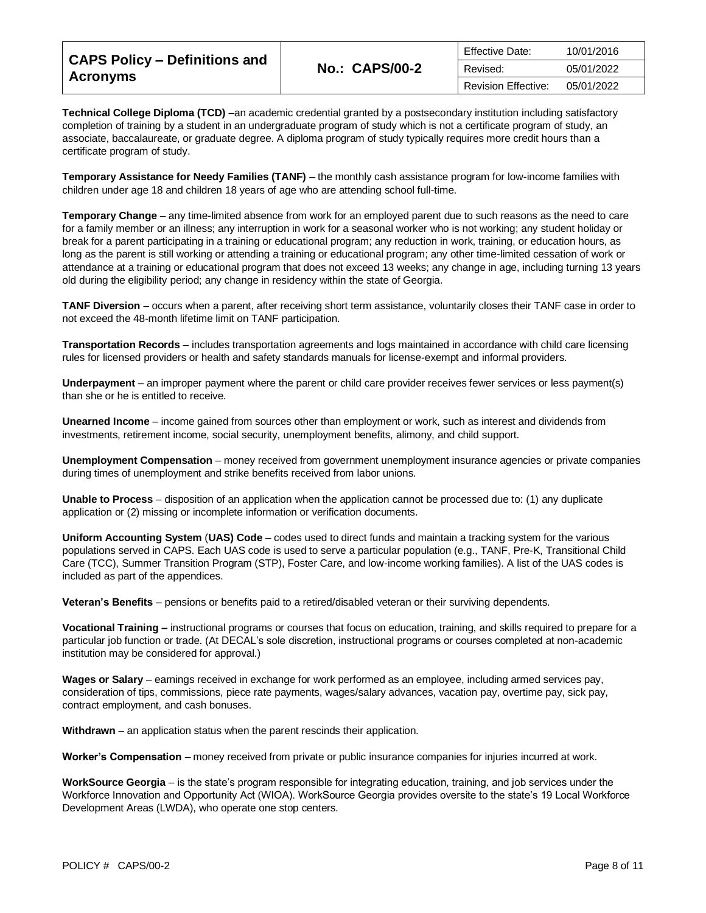| <b>CAPS Policy - Definitions and</b> |                       | Effective Date:            | 10/01/2016 |
|--------------------------------------|-----------------------|----------------------------|------------|
|                                      | <b>No.: CAPS/00-2</b> | Revised:                   | 05/01/2022 |
| <b>Acronyms</b>                      |                       | <b>Revision Effective:</b> | 05/01/2022 |

**Technical College Diploma (TCD)** –an academic credential granted by a postsecondary institution including satisfactory completion of training by a student in an undergraduate program of study which is not a certificate program of study, an associate, baccalaureate, or graduate degree. A diploma program of study typically requires more credit hours than a certificate program of study.

**Temporary Assistance for Needy Families (TANF)** – the monthly cash assistance program for low-income families with children under age 18 and children 18 years of age who are attending school full-time.

**Temporary Change** – any time-limited absence from work for an employed parent due to such reasons as the need to care for a family member or an illness; any interruption in work for a seasonal worker who is not working; any student holiday or break for a parent participating in a training or educational program; any reduction in work, training, or education hours, as long as the parent is still working or attending a training or educational program; any other time-limited cessation of work or attendance at a training or educational program that does not exceed 13 weeks; any change in age, including turning 13 years old during the eligibility period; any change in residency within the state of Georgia.

**TANF Diversion** – occurs when a parent, after receiving short term assistance, voluntarily closes their TANF case in order to not exceed the 48-month lifetime limit on TANF participation.

**Transportation Records** – includes transportation agreements and logs maintained in accordance with child care licensing rules for licensed providers or health and safety standards manuals for license-exempt and informal providers.

**Underpayment** – an improper payment where the parent or child care provider receives fewer services or less payment(s) than she or he is entitled to receive.

**Unearned Income** – income gained from sources other than employment or work, such as interest and dividends from investments, retirement income, social security, unemployment benefits, alimony, and child support.

**Unemployment Compensation** – money received from government unemployment insurance agencies or private companies during times of unemployment and strike benefits received from labor unions.

**Unable to Process** – disposition of an application when the application cannot be processed due to: (1) any duplicate application or (2) missing or incomplete information or verification documents.

**Uniform Accounting System** (**UAS) Code** – codes used to direct funds and maintain a tracking system for the various populations served in CAPS. Each UAS code is used to serve a particular population (e.g., TANF, Pre-K, Transitional Child Care (TCC), Summer Transition Program (STP), Foster Care, and low-income working families). A list of the UAS codes is included as part of the appendices.

**Veteran's Benefits** – pensions or benefits paid to a retired/disabled veteran or their surviving dependents.

**Vocational Training –** instructional programs or courses that focus on education, training, and skills required to prepare for a particular job function or trade. (At DECAL's sole discretion, instructional programs or courses completed at non-academic institution may be considered for approval.)

**Wages or Salary** – earnings received in exchange for work performed as an employee, including armed services pay, consideration of tips, commissions, piece rate payments, wages/salary advances, vacation pay, overtime pay, sick pay, contract employment, and cash bonuses.

**Withdrawn** – an application status when the parent rescinds their application.

**Worker's Compensation** – money received from private or public insurance companies for injuries incurred at work.

**WorkSource Georgia** – is the state's program responsible for integrating education, training, and job services under the Workforce Innovation and Opportunity Act (WIOA). WorkSource Georgia provides oversite to the state's 19 Local Workforce Development Areas (LWDA), who operate one stop centers.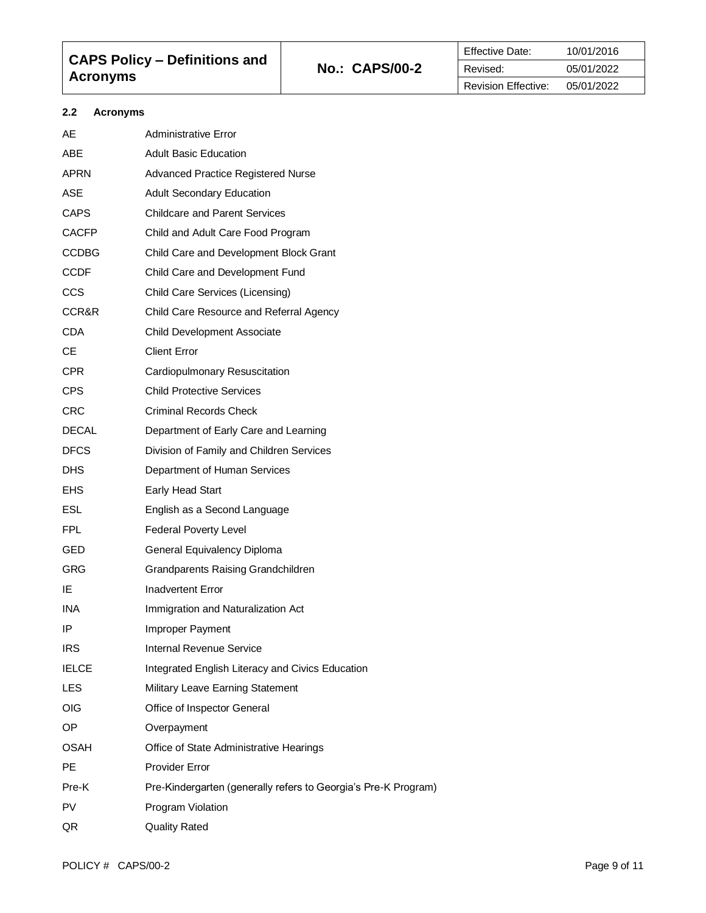| <b>CAPS Policy - Definitions and</b> | <b>No.: CAPS/00-2</b> |
|--------------------------------------|-----------------------|
| <b>Acronyms</b>                      |                       |

## **2.2 Acronyms**

| AE           | <b>Administrative Error</b>                                    |
|--------------|----------------------------------------------------------------|
| <b>ABE</b>   | <b>Adult Basic Education</b>                                   |
| APRN         | <b>Advanced Practice Registered Nurse</b>                      |
| <b>ASE</b>   | <b>Adult Secondary Education</b>                               |
| <b>CAPS</b>  | <b>Childcare and Parent Services</b>                           |
| <b>CACFP</b> | Child and Adult Care Food Program                              |
| CCDBG        | Child Care and Development Block Grant                         |
| CCDF         | Child Care and Development Fund                                |
| CCS          | Child Care Services (Licensing)                                |
| CCR&R        | Child Care Resource and Referral Agency                        |
| <b>CDA</b>   | Child Development Associate                                    |
| СE           | <b>Client Error</b>                                            |
| CPR.         | Cardiopulmonary Resuscitation                                  |
| CPS.         | <b>Child Protective Services</b>                               |
| <b>CRC</b>   | Criminal Records Check                                         |
| <b>DECAL</b> | Department of Early Care and Learning                          |
| <b>DFCS</b>  | Division of Family and Children Services                       |
| DHS.         | Department of Human Services                                   |
| EHS.         | Early Head Start                                               |
| ESL.         | English as a Second Language                                   |
| FPL.         | <b>Federal Poverty Level</b>                                   |
| GED          | General Equivalency Diploma                                    |
| GRG          | <b>Grandparents Raising Grandchildren</b>                      |
| IE           | Inadvertent Error                                              |
| <b>INA</b>   | Immigration and Naturalization Act                             |
| IP           | Improper Payment                                               |
| <b>IRS</b>   | <b>Internal Revenue Service</b>                                |
| <b>IELCE</b> | Integrated English Literacy and Civics Education               |
| LES          | Military Leave Earning Statement                               |
| OIG          | Office of Inspector General                                    |
| OP.          | Overpayment                                                    |
| OSAH         | Office of State Administrative Hearings                        |
| <b>PE</b>    | <b>Provider Error</b>                                          |
| Pre-K        | Pre-Kindergarten (generally refers to Georgia's Pre-K Program) |
| PV           | Program Violation                                              |
| QR           | <b>Quality Rated</b>                                           |
|              |                                                                |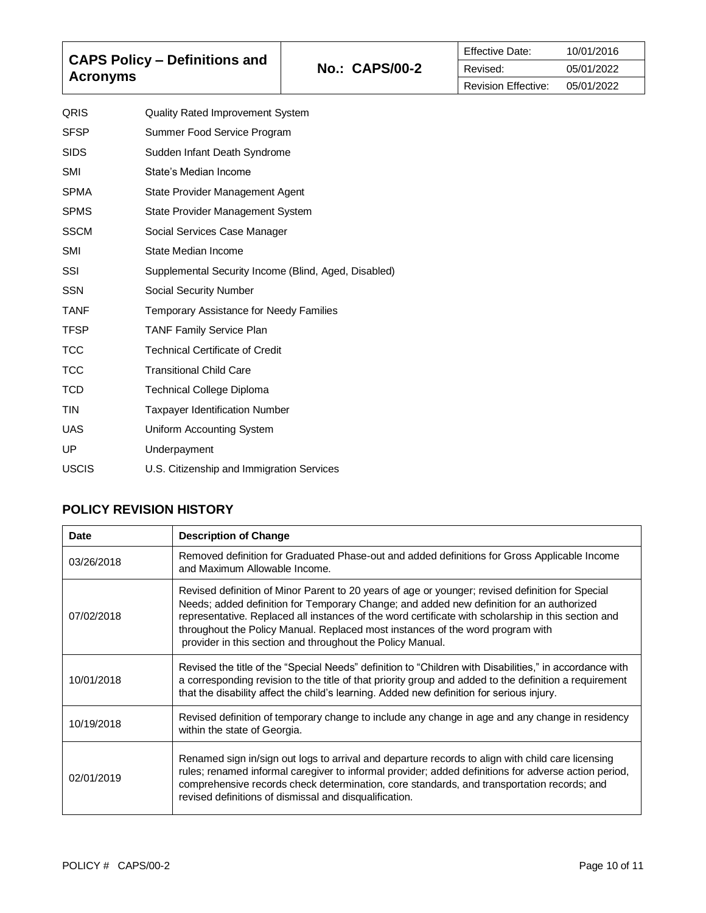| <b>CAPS Policy – Definitions and</b><br><b>Acronyms</b> |                                  | <b>No.: CAPS/00-2</b> | <b>Effective Date:</b><br>Revised: | 10/01/2016<br>05/01/2022 |
|---------------------------------------------------------|----------------------------------|-----------------------|------------------------------------|--------------------------|
|                                                         |                                  |                       | <b>Revision Effective:</b>         | 05/01/2022               |
| QRIS                                                    | Quality Rated Improvement System |                       |                                    |                          |
| <b>SFSP</b>                                             | Summer Food Service Program      |                       |                                    |                          |
| <b>SIDS</b>                                             | Sudden Infant Death Syndrome     |                       |                                    |                          |
| SMI                                                     | State's Median Income            |                       |                                    |                          |
| <b>SPMA</b>                                             | State Provider Management Agent  |                       |                                    |                          |
| <b>SPMS</b>                                             | State Provider Management System |                       |                                    |                          |

| State Provider Management System                     |
|------------------------------------------------------|
| Social Services Case Manager                         |
| State Median Income                                  |
| Supplemental Security Income (Blind, Aged, Disabled) |
| Social Security Number                               |
| Temporary Assistance for Needy Families              |
| <b>TANF Family Service Plan</b>                      |
| Technical Certificate of Credit                      |
| <b>Transitional Child Care</b>                       |
| Technical College Diploma                            |
| <b>Taxpayer Identification Number</b>                |
| Uniform Accounting System                            |
| Underpayment                                         |
| U.S. Citizenship and Immigration Services            |
|                                                      |

## **POLICY REVISION HISTORY**

| Date       | <b>Description of Change</b>                                                                                                                                                                                                                                                                                                                                                                                                                        |
|------------|-----------------------------------------------------------------------------------------------------------------------------------------------------------------------------------------------------------------------------------------------------------------------------------------------------------------------------------------------------------------------------------------------------------------------------------------------------|
| 03/26/2018 | Removed definition for Graduated Phase-out and added definitions for Gross Applicable Income<br>and Maximum Allowable Income.                                                                                                                                                                                                                                                                                                                       |
| 07/02/2018 | Revised definition of Minor Parent to 20 years of age or younger; revised definition for Special<br>Needs; added definition for Temporary Change; and added new definition for an authorized<br>representative. Replaced all instances of the word certificate with scholarship in this section and<br>throughout the Policy Manual. Replaced most instances of the word program with<br>provider in this section and throughout the Policy Manual. |
| 10/01/2018 | Revised the title of the "Special Needs" definition to "Children with Disabilities," in accordance with<br>a corresponding revision to the title of that priority group and added to the definition a requirement<br>that the disability affect the child's learning. Added new definition for serious injury.                                                                                                                                      |
| 10/19/2018 | Revised definition of temporary change to include any change in age and any change in residency<br>within the state of Georgia.                                                                                                                                                                                                                                                                                                                     |
| 02/01/2019 | Renamed sign in/sign out logs to arrival and departure records to align with child care licensing<br>rules; renamed informal caregiver to informal provider; added definitions for adverse action period,<br>comprehensive records check determination, core standards, and transportation records; and<br>revised definitions of dismissal and disqualification.                                                                                   |